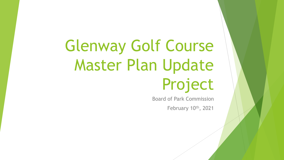# Glenway Golf Course Master Plan Update Project

Board of Park Commission February 10th, 2021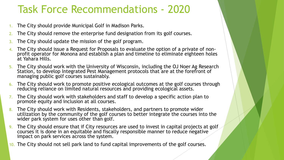# Task Force Recommendations - 2020

- 1. The City should provide Municipal Golf in Madison Parks.
- 2. The City should remove the enterprise fund designation from its golf courses.
- 3. The City should update the mission of the golf program.
- 4. The City should issue a Request for Proposals to evaluate the option of a private of non-<br>profit operator for Monona and establish a plan and timeline to eliminate eighteen holes at Yahara Hills.
- 5. The City should work with the University of Wisconsin, including the OJ Noer Ag Research Station, to develop Integrated Pest Management protocols that are at the forefront of managing public golf courses sustainably.
- 6. The City should work to promote positive ecological outcomes at the golf courses through reducing reliance on limited natural resources and providing ecological assets.
- 7. The City should work with stakeholders and staff to develop a specific action plan to promote equity and inclusion at all courses.
- 8. The City should work with Residents, stakeholders, and partners to promote wider utilization by the community of the golf courses to better integrate the courses into the wider park system for uses other than golf.
- 9. The City should ensure that if City resources are used to invest in capital projects at golf courses it is done in an equitable and fiscally responsible manner to reduce negative impact on park services across the system.
- 10. The City should not sell park land to fund capital improvements of the golf courses.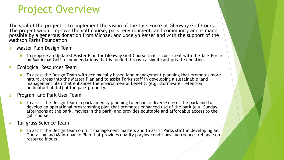# Project Overview

The goal of the project is to implement the vision of the Task Force at Glenway Golf Course. The project would improve the golf course, park, environment, and community and is made possible by a generous donation from Michael and Jocelyn Keiser and with the support of the Madison Parks Foundation.

- 1. Master Plan Design Team
	- ▶ To propose an Updated Master Plan for Glenway Golf Course that is consistent with the Task Force on Municipal Golf recommendations that is funded through a significant private donation.
- 2. Ecological Resources Team
	- **To assist the Design Team with ecologically based land management planning that promotes more** natural areas into the Master Plan and to assist Parks staff in developing a sustainable land management plan that enhances the environmental benefits (e.g. stormwater retention, pollinator habitat) of the park property.
- 3. Program and Park User Team
	- ▶ To assist the Design Team in park amenity planning to enhance diverse use of the park and to develop an operational programming plan that promotes enhanced use of the park (e.g. Sunday afternoons at the park, movies in the park) and provides equitable and affordable access to the golf course.
- 4. Turfgrass Science Team
	- **To assist the Design Team on turf management matters and to assist Parks staff in developing an** Operating and Maintenance Plan that provides quality playing conditions and reduces reliance on resource inputs.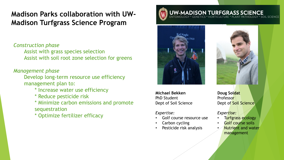### **Madison Parks collaboration with UW-Madison Turfgrass Science Program**

#### *Construction phase*

Assist with grass species selection Assist with soil root zone selection for greens

#### *Management phase*

Develop long-term resource use efficiency management plan to:

- \* Increase water use efficiency
- \* Reduce pesticide risk
- \* Minimize carbon emissions and promote sequestration
- \* Optimize fertilizer efficacy

### **UW-MADISON TURFGRASS SCIENCE**



**Michael Bekken** PhD Student Dept of Soil Science

#### *Expertise:*

- Golf course resource use
- Carbon cycling
- Pesticide risk analysis



**Doug Soldat** Professor Dept of Soil Science

#### *Expertise:*

- Turfgrass ecology
- Golf course soils
- Nutrient and water management